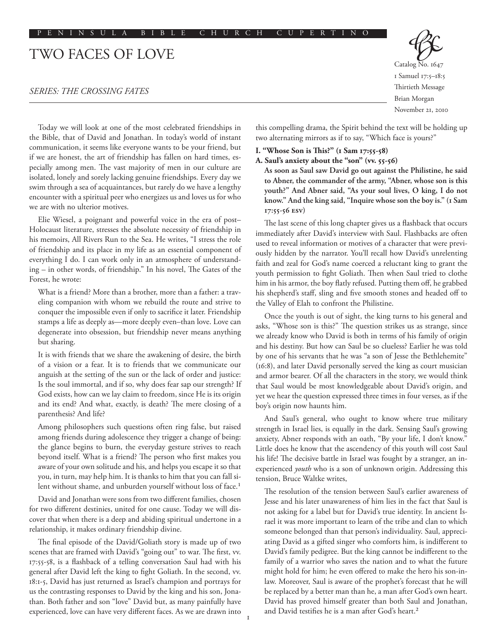# TWO FACES OF LOVE

# *SERIES: THE CROSSING FATES*

Catalog No. 1647 1 Samuel 17:5–18:5 Thirtieth Message Brian Morgan November 21, 2010

Today we will look at one of the most celebrated friendships in the Bible, that of David and Jonathan. In today's world of instant communication, it seems like everyone wants to be your friend, but if we are honest, the art of friendship has fallen on hard times, especially among men. The vast majority of men in our culture are isolated, lonely and sorely lacking genuine friendships. Every day we swim through a sea of acquaintances, but rarely do we have a lengthy encounter with a spiritual peer who energizes us and loves us for who we are with no ulterior motives.

Elie Wiesel, a poignant and powerful voice in the era of post– Holocaust literature, stresses the absolute necessity of friendship in his memoirs, All Rivers Run to the Sea. He writes, "I stress the role of friendship and its place in my life as an essential component of everything I do. I can work only in an atmosphere of understanding – in other words, of friendship." In his novel, The Gates of the Forest, he wrote:

What is a friend? More than a brother, more than a father: a traveling companion with whom we rebuild the route and strive to conquer the impossible even if only to sacrifice it later. Friendship stamps a life as deeply as—more deeply even–than love. Love can degenerate into obsession, but friendship never means anything but sharing.

It is with friends that we share the awakening of desire, the birth of a vision or a fear. It is to friends that we communicate our anguish at the setting of the sun or the lack of order and justice: Is the soul immortal, and if so, why does fear sap our strength? If God exists, how can we lay claim to freedom, since He is its origin and its end? And what, exactly, is death? The mere closing of a parenthesis? And life?

Among philosophers such questions often ring false, but raised among friends during adolescence they trigger a change of being: the glance begins to burn, the everyday gesture strives to reach beyond itself. What is a friend? The person who first makes you aware of your own solitude and his, and helps you escape it so that you, in turn, may help him. It is thanks to him that you can fall silent without shame, and unburden yourself without loss of face.<sup>1</sup>

David and Jonathan were sons from two different families, chosen for two different destinies, united for one cause. Today we will discover that when there is a deep and abiding spiritual undertone in a relationship, it makes ordinary friendship divine.

The final episode of the David/Goliath story is made up of two scenes that are framed with David's "going out" to war. The first, vv. 17:55-58, is a flashback of a telling conversation Saul had with his general after David left the king to fight Goliath. In the second, vv. 18:1-5, David has just returned as Israel's champion and portrays for us the contrasting responses to David by the king and his son, Jonathan. Both father and son "love" David but, as many painfully have experienced, love can have very different faces. As we are drawn into this compelling drama, the Spirit behind the text will be holding up two alternating mirrors as if to say, "Which face is yours?"

#### **I. "Whose Son is This?" (1 Sam 17:55-58)**

### **A. Saul's anxiety about the "son" (vv. 55-56)**

**As soon as Saul saw David go out against the Philistine, he said to Abner, the commander of the army, "Abner, whose son is this youth?" And Abner said, "As your soul lives, O king, I do not know." And the king said, "Inquire whose son the boy is." (1 Sam 17:55-56 esv)**

The last scene of this long chapter gives us a flashback that occurs immediately after David's interview with Saul. Flashbacks are often used to reveal information or motives of a character that were previously hidden by the narrator. You'll recall how David's unrelenting faith and zeal for God's name coerced a reluctant king to grant the youth permission to fight Goliath. Then when Saul tried to clothe him in his armor, the boy flatly refused. Putting them off, he grabbed his shepherd's staff, sling and five smooth stones and headed off to the Valley of Elah to confront the Philistine.

Once the youth is out of sight, the king turns to his general and asks, "Whose son is this?" The question strikes us as strange, since we already know who David is both in terms of his family of origin and his destiny. But how can Saul be so clueless? Earlier he was told by one of his servants that he was "a son of Jesse the Bethlehemite" (16:8), and later David personally served the king as court musician and armor bearer. Of all the characters in the story, we would think that Saul would be most knowledgeable about David's origin, and yet we hear the question expressed three times in four verses, as if the boy's origin now haunts him.

And Saul's general, who ought to know where true military strength in Israel lies, is equally in the dark. Sensing Saul's growing anxiety, Abner responds with an oath, "By your life, I don't know." Little does he know that the ascendency of this youth will cost Saul his life! The decisive battle in Israel was fought by a stranger, an inexperienced *youth* who is a son of unknown origin. Addressing this tension, Bruce Waltke writes,

The resolution of the tension between Saul's earlier awareness of Jesse and his later unawareness of him lies in the fact that Saul is not asking for a label but for David's true identity. In ancient Israel it was more important to learn of the tribe and clan to which someone belonged than that person's individuality. Saul, appreciating David as a gifted singer who comforts him, is indifferent to David's family pedigree. But the king cannot be indifferent to the family of a warrior who saves the nation and to what the future might hold for him; he even offered to make the hero his son-inlaw. Moreover, Saul is aware of the prophet's forecast that he will be replaced by a better man than he, a man after God's own heart. David has proved himself greater than both Saul and Jonathan, and David testifies he is a man after God's heart.<sup>2</sup>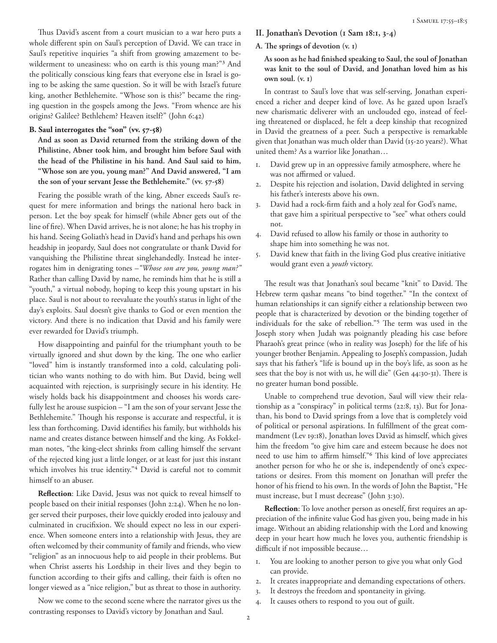Thus David's ascent from a court musician to a war hero puts a whole different spin on Saul's perception of David. We can trace in Saul's repetitive inquiries "a shift from growing amazement to bewilderment to uneasiness: who on earth is this young man?"3 And the politically conscious king fears that everyone else in Israel is going to be asking the same question. So it will be with Israel's future king, another Bethlehemite. "Whose son is this?" became the ringing question in the gospels among the Jews. "From whence are his origins? Galilee? Bethlehem? Heaven itself?" (John 6:42)

# **B. Saul interrogates the "son" (vv. 57-58)**

**And as soon as David returned from the striking down of the Philistine, Abner took him, and brought him before Saul with the head of the Philistine in his hand. And Saul said to him, "Whose son are you, young man?" And David answered, "I am the son of your servant Jesse the Bethlehemite." (vv. 57-58)**

Fearing the possible wrath of the king, Abner exceeds Saul's request for mere information and brings the national hero back in person. Let the boy speak for himself (while Abner gets out of the line of fire). When David arrives, he is not alone; he has his trophy in his hand. Seeing Goliath's head in David's hand and perhaps his own headship in jeopardy, Saul does not congratulate or thank David for vanquishing the Philistine threat singlehandedly. Instead he interrogates him in denigrating tones –*"Whose son are you, young man?"* Rather than calling David by name, he reminds him that he is still a "youth," a virtual nobody, hoping to keep this young upstart in his place. Saul is not about to reevaluate the youth's status in light of the day's exploits. Saul doesn't give thanks to God or even mention the victory. And there is no indication that David and his family were ever rewarded for David's triumph.

How disappointing and painful for the triumphant youth to be virtually ignored and shut down by the king. The one who earlier "loved" him is instantly transformed into a cold, calculating politician who wants nothing to do with him. But David, being well acquainted with rejection, is surprisingly secure in his identity. He wisely holds back his disappointment and chooses his words carefully lest he arouse suspicion – "I am the son of your servant Jesse the Bethlehemite." Though his response is accurate and respectful, it is less than forthcoming. David identifies his family, but withholds his name and creates distance between himself and the king. As Fokkelman notes, "the king-elect shrinks from calling himself the servant of the rejected king just a little longer, or at least for just this instant which involves his true identity."<sup>4</sup> David is careful not to commit himself to an abuser.

**Reflection**: Like David, Jesus was not quick to reveal himself to people based on their initial responses (John 2:24). When he no longer served their purposes, their love quickly eroded into jealousy and culminated in crucifixion. We should expect no less in our experience. When someone enters into a relationship with Jesus, they are often welcomed by their community of family and friends, who view "religion" as an innocuous help to aid people in their problems. But when Christ asserts his Lordship in their lives and they begin to function according to their gifts and calling, their faith is often no longer viewed as a "nice religion," but as threat to those in authority.

Now we come to the second scene where the narrator gives us the contrasting responses to David's victory by Jonathan and Saul.

- **II. Jonathan's Devotion (1 Sam 18:1, 3-4)**
- **A. The springs of devotion (v. 1)**

**As soon as he had finished speaking to Saul, the soul of Jonathan was knit to the soul of David, and Jonathan loved him as his own soul. (v. 1)**

In contrast to Saul's love that was self-serving, Jonathan experienced a richer and deeper kind of love. As he gazed upon Israel's new charismatic deliverer with an unclouded ego, instead of feeling threatened or displaced, he felt a deep kinship that recognized in David the greatness of a peer. Such a perspective is remarkable given that Jonathan was much older than David (15-20 years?). What united them? As a warrior like Jonathan…

- 1. David grew up in an oppressive family atmosphere, where he was not affirmed or valued.
- 2. Despite his rejection and isolation, David delighted in serving his father's interests above his own.
- 3. David had a rock-firm faith and a holy zeal for God's name, that gave him a spiritual perspective to "see" what others could not.
- 4. David refused to allow his family or those in authority to shape him into something he was not.
- 5. David knew that faith in the living God plus creative initiative would grant even a *youth* victory.

The result was that Jonathan's soul became "knit" to David. The Hebrew term qashar means "to bind together." "In the context of human relationships it can signify either a relationship between two people that is characterized by devotion or the binding together of individuals for the sake of rebellion."5 The term was used in the Joseph story when Judah was poignantly pleading his case before Pharaoh's great prince (who in reality was Joseph) for the life of his younger brother Benjamin. Appealing to Joseph's compassion, Judah says that his father's "life is bound up in the boy's life, as soon as he sees that the boy is not with us, he will die" (Gen 44:30-31). There is no greater human bond possible.

Unable to comprehend true devotion, Saul will view their relationship as a "conspiracy" in political terms (22:8, 13). But for Jonathan, his bond to David springs from a love that is completely void of political or personal aspirations. In fulfillment of the great commandment (Lev 19:18), Jonathan loves David as himself, which gives him the freedom "to give him care and esteem because he does not need to use him to affirm himself."6 This kind of love appreciates another person for who he or she is, independently of one's expectations or desires. From this moment on Jonathan will prefer the honor of his friend to his own. In the words of John the Baptist, "He must increase, but I must decrease" (John 3:30).

**Reflection**: To love another person as oneself, first requires an appreciation of the infinite value God has given you, being made in his image. Without an abiding relationship with the Lord and knowing deep in your heart how much he loves you, authentic friendship is difficult if not impossible because…

- 1. You are looking to another person to give you what only God can provide.
- 2. It creates inappropriate and demanding expectations of others.
- 3. It destroys the freedom and spontaneity in giving.
- 4. It causes others to respond to you out of guilt.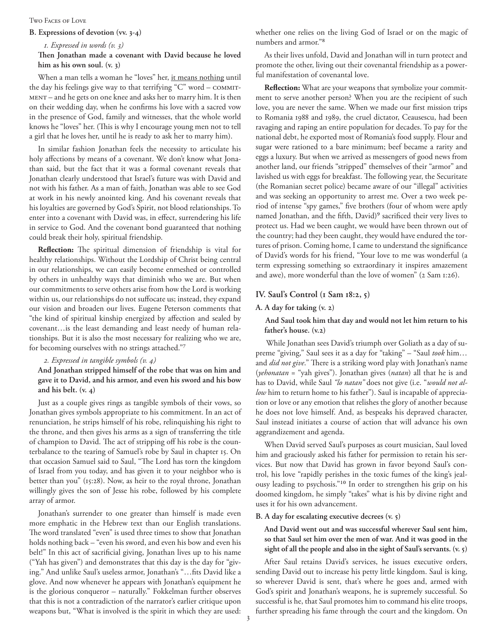#### Two Faces of Love

### **B. Expressions of devotion (vv. 3-4)**

### *1. Expressed in words (v. 3)*

### **Then Jonathan made a covenant with David because he loved him as his own soul. (v. 3)**

When a man tells a woman he "loves" her, it means nothing until the day his feelings give way to that terrifying "C" word - COMMITment – and he gets on one knee and asks her to marry him. It is then on their wedding day, when he confirms his love with a sacred vow in the presence of God, family and witnesses, that the whole world knows he "loves" her. (This is why I encourage young men not to tell a girl that he loves her, until he is ready to ask her to marry him).

In similar fashion Jonathan feels the necessity to articulate his holy affections by means of a covenant. We don't know what Jonathan said, but the fact that it was a formal covenant reveals that Jonathan clearly understood that Israel's future was with David and not with his father. As a man of faith, Jonathan was able to see God at work in his newly anointed king. And his covenant reveals that his loyalties are governed by God's Spirit, not blood relationships. To enter into a covenant with David was, in effect, surrendering his life in service to God. And the covenant bond guaranteed that nothing could break their holy, spiritual friendship.

**Reflection:** The spiritual dimension of friendship is vital for healthy relationships. Without the Lordship of Christ being central in our relationships, we can easily become enmeshed or controlled by others in unhealthy ways that diminish who we are. But when our commitments to serve others arise from how the Lord is working within us, our relationships do not suffocate us; instead, they expand our vision and broaden our lives. Eugene Peterson comments that "the kind of spiritual kinship energized by affection and sealed by covenant…is the least demanding and least needy of human relationships. But it is also the most necessary for realizing who we are, for becoming ourselves with no strings attached."7

*2. Expressed in tangible symbols (v. 4)*

# **And Jonathan stripped himself of the robe that was on him and gave it to David, and his armor, and even his sword and his bow and his belt. (v. 4)**

Just as a couple gives rings as tangible symbols of their vows, so Jonathan gives symbols appropriate to his commitment. In an act of renunciation, he strips himself of his robe, relinquishing his right to the throne, and then gives his arms as a sign of transferring the title of champion to David. The act of stripping off his robe is the counterbalance to the tearing of Samuel's robe by Saul in chapter 15. On that occasion Samuel said to Saul, "The Lord has torn the kingdom of Israel from you today, and has given it to your neighbor who is better than you" (15:28). Now, as heir to the royal throne, Jonathan willingly gives the son of Jesse his robe, followed by his complete array of armor.

Jonathan's surrender to one greater than himself is made even more emphatic in the Hebrew text than our English translations. The word translated "even" is used three times to show that Jonathan holds nothing back – "even his sword, and even his bow and even his belt!" In this act of sacrificial giving, Jonathan lives up to his name ("Yah has given") and demonstrates that this day is the day for "giving." And unlike Saul's useless armor, Jonathan's "…fits David like a glove. And now whenever he appears with Jonathan's equipment he is the glorious conqueror – naturally." Fokkelman further observes that this is not a contradiction of the narrator's earlier critique upon weapons but, "What is involved is the spirit in which they are used: whether one relies on the living God of Israel or on the magic of numbers and armor."8

As their lives unfold, David and Jonathan will in turn protect and promote the other, living out their covenantal friendship as a powerful manifestation of covenantal love.

**Reflection:** What are your weapons that symbolize your commitment to serve another person? When you are the recipient of such love, you are never the same. When we made our first mission trips to Romania 1988 and 1989, the cruel dictator, Ceausescu, had been ravaging and raping an entire population for decades. To pay for the national debt, he exported most of Romania's food supply. Flour and sugar were rationed to a bare minimum; beef became a rarity and eggs a luxury. But when we arrived as messengers of good news from another land, our friends "stripped" themselves of their "armor" and lavished us with eggs for breakfast. The following year, the Securitate (the Romanian secret police) became aware of our "illegal" activities and was seeking an opportunity to arrest me. Over a two week period of intense "spy games," five brothers (four of whom were aptly named Jonathan, and the fifth, David)<sup>9</sup> sacrificed their very lives to protect us. Had we been caught, we would have been thrown out of the country; had they been caught, they would have endured the tortures of prison. Coming home, I came to understand the significance of David's words for his friend, "Your love to me was wonderful (a term expressing something so extraordinary it inspires amazement and awe), more wonderful than the love of women" (2 Sam 1:26).

## **IV. Saul's Control (1 Sam 18:2, 5)**

### **A. A day for taking (v. 2)**

# **And Saul took him that day and would not let him return to his father's house. (v.2)**

 While Jonathan sees David's triumph over Goliath as a day of supreme "giving," Saul sees it as a day for "taking" – "Saul *took* him… and *did not give*." There is a striking word play with Jonathan's name (*yehonatan* = "yah gives"). Jonathan gives (*natan*) all that he is and has to David, while Saul *"lo natan"* does not give (i.e. "*would not allow* him to return home to his father"). Saul is incapable of appreciation or love or any emotion that relishes the glory of another because he does not love himself. And, as bespeaks his depraved character, Saul instead initiates a course of action that will advance his own aggrandizement and agenda.

When David served Saul's purposes as court musician, Saul loved him and graciously asked his father for permission to retain his services. But now that David has grown in favor beyond Saul's control, his love "rapidly perishes in the toxic fumes of the king's jealousy leading to psychosis."10 In order to strengthen his grip on his doomed kingdom, he simply "takes" what is his by divine right and uses it for his own advancement.

### **B. A day for escalating executive decrees (v. 5)**

## **And David went out and was successful wherever Saul sent him, so that Saul set him over the men of war. And it was good in the sight of all the people and also in the sight of Saul's servants. (v. 5)**

After Saul retains David's services, he issues executive orders, sending David out to increase his petty little kingdom. Saul is king, so wherever David is sent, that's where he goes and, armed with God's spirit and Jonathan's weapons, he is supremely successful. So successful is he, that Saul promotes him to command his elite troops, further spreading his fame through the court and the kingdom. On